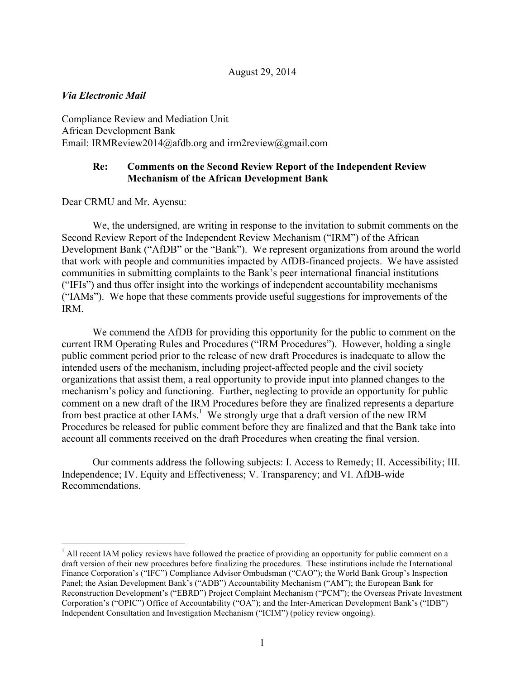#### *Via Electronic Mail*

Compliance Review and Mediation Unit African Development Bank Email: IRMReview2014@afdb.org and irm2review@gmail.com

# **Re: Comments on the Second Review Report of the Independent Review Mechanism of the African Development Bank**

Dear CRMU and Mr. Ayensu:

We, the undersigned, are writing in response to the invitation to submit comments on the Second Review Report of the Independent Review Mechanism ("IRM") of the African Development Bank ("AfDB" or the "Bank"). We represent organizations from around the world that work with people and communities impacted by AfDB-financed projects. We have assisted communities in submitting complaints to the Bank's peer international financial institutions ("IFIs") and thus offer insight into the workings of independent accountability mechanisms ("IAMs"). We hope that these comments provide useful suggestions for improvements of the IRM.

We commend the AfDB for providing this opportunity for the public to comment on the current IRM Operating Rules and Procedures ("IRM Procedures"). However, holding a single public comment period prior to the release of new draft Procedures is inadequate to allow the intended users of the mechanism, including project-affected people and the civil society organizations that assist them, a real opportunity to provide input into planned changes to the mechanism's policy and functioning. Further, neglecting to provide an opportunity for public comment on a new draft of the IRM Procedures before they are finalized represents a departure from best practice at other IAMs.<sup>1</sup> We strongly urge that a draft version of the new IRM Procedures be released for public comment before they are finalized and that the Bank take into account all comments received on the draft Procedures when creating the final version.

Our comments address the following subjects: I. Access to Remedy; II. Accessibility; III. Independence; IV. Equity and Effectiveness; V. Transparency; and VI. AfDB-wide Recommendations.

<sup>&</sup>lt;sup>1</sup> All recent IAM policy reviews have followed the practice of providing an opportunity for public comment on a draft version of their new procedures before finalizing the procedures. These institutions include the International Finance Corporation's ("IFC") Compliance Advisor Ombudsman ("CAO"); the World Bank Group's Inspection Panel; the Asian Development Bank's ("ADB") Accountability Mechanism ("AM"); the European Bank for Reconstruction Development's ("EBRD") Project Complaint Mechanism ("PCM"); the Overseas Private Investment Corporation's ("OPIC") Office of Accountability ("OA"); and the Inter-American Development Bank's ("IDB") Independent Consultation and Investigation Mechanism ("ICIM") (policy review ongoing).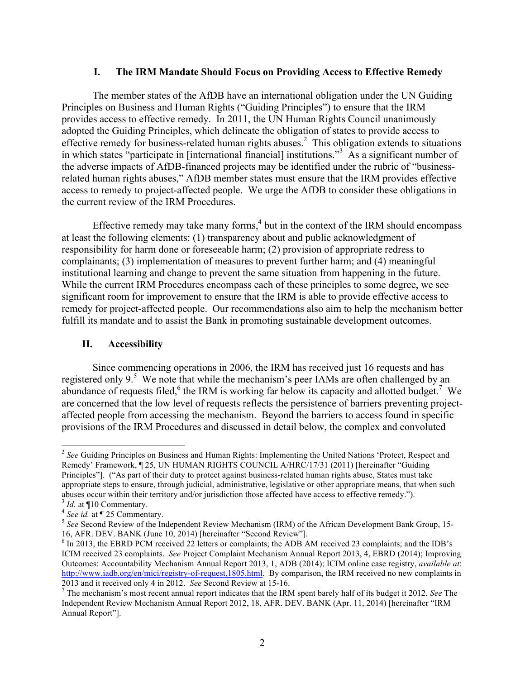#### **I. The IRM Mandate Should Focus on Providing Access to Effective Remedy**

The member states of the AfDB have an international obligation under the UN Guiding Principles on Business and Human Rights ("Guiding Principles") to ensure that the IRM provides access to effective remedy. In 2011, the UN Human Rights Council unanimously adopted the Guiding Principles, which delineate the obligation of states to provide access to effective remedy for business-related human rights abuses.<sup>2</sup> This obligation extends to situations in which states "participate in [international financial] institutions."<sup>3</sup> As a significant number of the adverse impacts of AfDB-financed projects may be identified under the rubric of "businessrelated human rights abuses," AfDB member states must ensure that the IRM provides effective access to remedy to project-affected people. We urge the AfDB to consider these obligations in the current review of the IRM Procedures.

Effective remedy may take many forms, $4$  but in the context of the IRM should encompass at least the following elements: (1) transparency about and public acknowledgment of responsibility for harm done or foreseeable harm; (2) provision of appropriate redress to complainants; (3) implementation of measures to prevent further harm; and (4) meaningful institutional learning and change to prevent the same situation from happening in the future. While the current IRM Procedures encompass each of these principles to some degree, we see significant room for improvement to ensure that the IRM is able to provide effective access to remedy for project-affected people. Our recommendations also aim to help the mechanism better fulfill its mandate and to assist the Bank in promoting sustainable development outcomes.

## **II. Accessibility**

Since commencing operations in 2006, the IRM has received just 16 requests and has registered only 9.<sup>5</sup> We note that while the mechanism's peer IAMs are often challenged by an abundance of requests filed,  $6$  the IRM is working far below its capacity and allotted budget.<sup>7</sup> We are concerned that the low level of requests reflects the persistence of barriers preventing projectaffected people from accessing the mechanism. Beyond the barriers to access found in specific provisions of the IRM Procedures and discussed in detail below, the complex and convoluted

 <sup>2</sup> *See* Guiding Principles on Business and Human Rights: Implementing the United Nations 'Protect, Respect and Remedy' Framework, ¶ 25, UN HUMAN RIGHTS COUNCIL A/HRC/17/31 (2011) [hereinafter "Guiding Principles"]. ("As part of their duty to protect against business-related human rights abuse, States must take appropriate steps to ensure, through judicial, administrative, legislative or other appropriate means, that when such abuses occur within their territory and/or jurisdiction those affected have access to effective remedy.").

<sup>&</sup>lt;sup>3</sup> *Id.* at ¶10 Commentary.<br>
<sup>4</sup> *See id.* at ¶ 25 Commentary.<br>
<sup>5</sup> *See* Second Review of the Independent Review Mechanism (IRM) of the African Development Bank Group, 15-<br>
16, AFR. DEV. BANK (June 10, 2014) [hereinafter

 $6$  In 2013, the EBRD PCM received 22 letters or complaints; the ADB AM received 23 complaints; and the IDB's ICIM received 23 complaints. *See* Project Complaint Mechanism Annual Report 2013, 4, EBRD (2014); Improving Outcomes: Accountability Mechanism Annual Report 2013, 1, ADB (2014); ICIM online case registry, *available at*: http://www.iadb.org/en/mici/registry-of-request,1805.html. By comparison, the IRM received no new complaints in

<sup>2013</sup> and it received only 4 in 2012. *See* Second Review at 15-16. 7 The mechanism's most recent annual report indicates that the IRM spent barely half of its budget it 2012. *See* The Independent Review Mechanism Annual Report 2012, 18, AFR. DEV. BANK (Apr. 11, 2014) [hereinafter "IRM Annual Report"].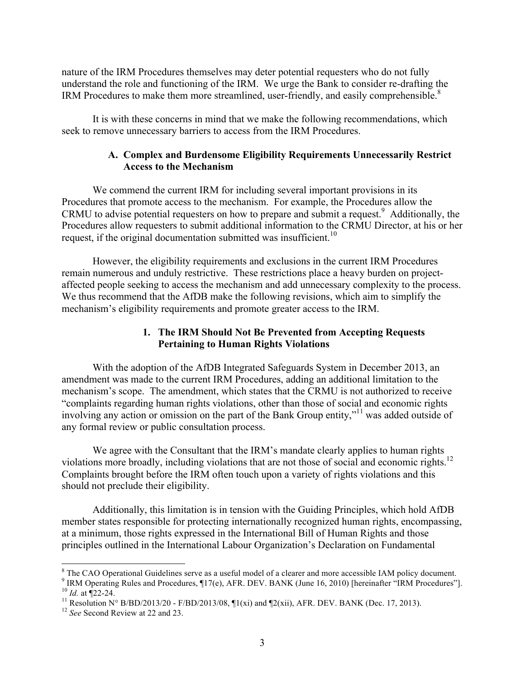nature of the IRM Procedures themselves may deter potential requesters who do not fully understand the role and functioning of the IRM. We urge the Bank to consider re-drafting the IRM Procedures to make them more streamlined, user-friendly, and easily comprehensible.<sup>8</sup>

It is with these concerns in mind that we make the following recommendations, which seek to remove unnecessary barriers to access from the IRM Procedures.

## **A. Complex and Burdensome Eligibility Requirements Unnecessarily Restrict Access to the Mechanism**

We commend the current IRM for including several important provisions in its Procedures that promote access to the mechanism. For example, the Procedures allow the CRMU to advise potential requesters on how to prepare and submit a request. $9$  Additionally, the Procedures allow requesters to submit additional information to the CRMU Director, at his or her request, if the original documentation submitted was insufficient.<sup>10</sup>

However, the eligibility requirements and exclusions in the current IRM Procedures remain numerous and unduly restrictive. These restrictions place a heavy burden on projectaffected people seeking to access the mechanism and add unnecessary complexity to the process. We thus recommend that the AfDB make the following revisions, which aim to simplify the mechanism's eligibility requirements and promote greater access to the IRM.

# **1. The IRM Should Not Be Prevented from Accepting Requests Pertaining to Human Rights Violations**

With the adoption of the AfDB Integrated Safeguards System in December 2013, an amendment was made to the current IRM Procedures, adding an additional limitation to the mechanism's scope. The amendment, which states that the CRMU is not authorized to receive "complaints regarding human rights violations, other than those of social and economic rights involving any action or omission on the part of the Bank Group entity,"<sup>11</sup> was added outside of any formal review or public consultation process.

We agree with the Consultant that the IRM's mandate clearly applies to human rights violations more broadly, including violations that are not those of social and economic rights.<sup>12</sup> Complaints brought before the IRM often touch upon a variety of rights violations and this should not preclude their eligibility.

Additionally, this limitation is in tension with the Guiding Principles, which hold AfDB member states responsible for protecting internationally recognized human rights, encompassing, at a minimum, those rights expressed in the International Bill of Human Rights and those principles outlined in the International Labour Organization's Declaration on Fundamental

<sup>&</sup>lt;sup>8</sup> The CAO Operational Guidelines serve as a useful model of a clearer and more accessible IAM policy document.<br><sup>9</sup> IRM Operating Rules and Procedures, ¶17(e), AFR. DEV. BANK (June 16, 2010) [hereinafter "IRM Procedures"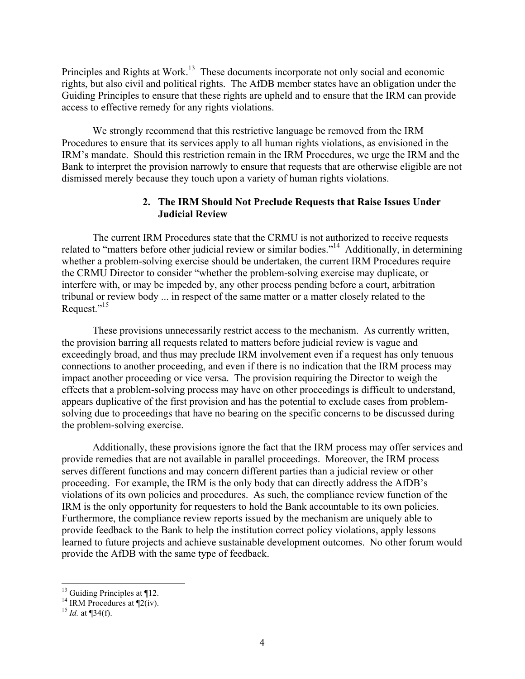Principles and Rights at Work.<sup>13</sup> These documents incorporate not only social and economic rights, but also civil and political rights. The AfDB member states have an obligation under the Guiding Principles to ensure that these rights are upheld and to ensure that the IRM can provide access to effective remedy for any rights violations.

We strongly recommend that this restrictive language be removed from the IRM Procedures to ensure that its services apply to all human rights violations, as envisioned in the IRM's mandate. Should this restriction remain in the IRM Procedures, we urge the IRM and the Bank to interpret the provision narrowly to ensure that requests that are otherwise eligible are not dismissed merely because they touch upon a variety of human rights violations.

# **2. The IRM Should Not Preclude Requests that Raise Issues Under Judicial Review**

The current IRM Procedures state that the CRMU is not authorized to receive requests related to "matters before other judicial review or similar bodies."<sup>14</sup> Additionally, in determining whether a problem-solving exercise should be undertaken, the current IRM Procedures require the CRMU Director to consider "whether the problem-solving exercise may duplicate, or interfere with, or may be impeded by, any other process pending before a court, arbitration tribunal or review body ... in respect of the same matter or a matter closely related to the Request."<sup>15</sup>

These provisions unnecessarily restrict access to the mechanism. As currently written, the provision barring all requests related to matters before judicial review is vague and exceedingly broad, and thus may preclude IRM involvement even if a request has only tenuous connections to another proceeding, and even if there is no indication that the IRM process may impact another proceeding or vice versa. The provision requiring the Director to weigh the effects that a problem-solving process may have on other proceedings is difficult to understand, appears duplicative of the first provision and has the potential to exclude cases from problemsolving due to proceedings that have no bearing on the specific concerns to be discussed during the problem-solving exercise.

Additionally, these provisions ignore the fact that the IRM process may offer services and provide remedies that are not available in parallel proceedings. Moreover, the IRM process serves different functions and may concern different parties than a judicial review or other proceeding. For example, the IRM is the only body that can directly address the AfDB's violations of its own policies and procedures. As such, the compliance review function of the IRM is the only opportunity for requesters to hold the Bank accountable to its own policies. Furthermore, the compliance review reports issued by the mechanism are uniquely able to provide feedback to the Bank to help the institution correct policy violations, apply lessons learned to future projects and achieve sustainable development outcomes. No other forum would provide the AfDB with the same type of feedback.

<sup>&</sup>lt;sup>13</sup> Guiding Principles at ¶12.<br><sup>14</sup> IRM Procedures at ¶2(iv).<br><sup>15</sup> *Id.* at ¶34(f).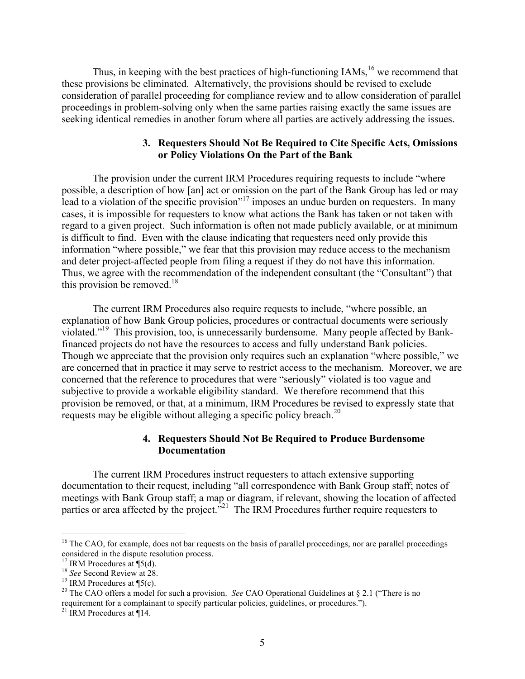Thus, in keeping with the best practices of high-functioning IAMs, <sup>16</sup> we recommend that these provisions be eliminated. Alternatively, the provisions should be revised to exclude consideration of parallel proceeding for compliance review and to allow consideration of parallel proceedings in problem-solving only when the same parties raising exactly the same issues are seeking identical remedies in another forum where all parties are actively addressing the issues.

## **3. Requesters Should Not Be Required to Cite Specific Acts, Omissions or Policy Violations On the Part of the Bank**

The provision under the current IRM Procedures requiring requests to include "where possible, a description of how [an] act or omission on the part of the Bank Group has led or may lead to a violation of the specific provision"<sup>17</sup> imposes an undue burden on requesters. In many cases, it is impossible for requesters to know what actions the Bank has taken or not taken with regard to a given project. Such information is often not made publicly available, or at minimum is difficult to find. Even with the clause indicating that requesters need only provide this information "where possible," we fear that this provision may reduce access to the mechanism and deter project-affected people from filing a request if they do not have this information. Thus, we agree with the recommendation of the independent consultant (the "Consultant") that this provision be removed.<sup>18</sup>

The current IRM Procedures also require requests to include, "where possible, an explanation of how Bank Group policies, procedures or contractual documents were seriously violated."19 This provision, too, is unnecessarily burdensome. Many people affected by Bankfinanced projects do not have the resources to access and fully understand Bank policies. Though we appreciate that the provision only requires such an explanation "where possible," we are concerned that in practice it may serve to restrict access to the mechanism. Moreover, we are concerned that the reference to procedures that were "seriously" violated is too vague and subjective to provide a workable eligibility standard. We therefore recommend that this provision be removed, or that, at a minimum, IRM Procedures be revised to expressly state that requests may be eligible without alleging a specific policy breach.<sup>20</sup>

# **4. Requesters Should Not Be Required to Produce Burdensome Documentation**

The current IRM Procedures instruct requesters to attach extensive supporting documentation to their request, including "all correspondence with Bank Group staff; notes of meetings with Bank Group staff; a map or diagram, if relevant, showing the location of affected parties or area affected by the project.<sup> $321$ </sup> The IRM Procedures further require requesters to

<sup>&</sup>lt;sup>16</sup> The CAO, for example, does not bar requests on the basis of parallel proceedings, nor are parallel proceedings considered in the dispute resolution process.<br> $^{17}$  IRM Procedures at  $\P(5d)$ .

<sup>&</sup>lt;sup>18</sup> See Second Review at 28.<br><sup>19</sup> IRM Procedures at ¶5(c).<br><sup>20</sup> The CAO offers a model for such a provision. *See* CAO Operational Guidelines at § 2.1 ("There is no requirement for a complainant to specify particular policies, guidelines, or procedures.").

<sup>&</sup>lt;sup>21</sup> IRM Procedures at  $\P$ 14.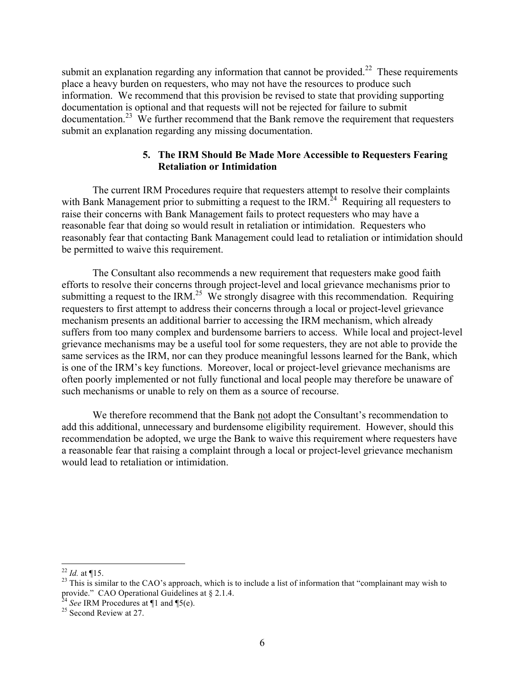submit an explanation regarding any information that cannot be provided.<sup>22</sup> These requirements place a heavy burden on requesters, who may not have the resources to produce such information. We recommend that this provision be revised to state that providing supporting documentation is optional and that requests will not be rejected for failure to submit documentation.<sup>23</sup> We further recommend that the Bank remove the requirement that requesters submit an explanation regarding any missing documentation.

## **5. The IRM Should Be Made More Accessible to Requesters Fearing Retaliation or Intimidation**

The current IRM Procedures require that requesters attempt to resolve their complaints with Bank Management prior to submitting a request to the IRM.<sup>24</sup> Requiring all requesters to raise their concerns with Bank Management fails to protect requesters who may have a reasonable fear that doing so would result in retaliation or intimidation. Requesters who reasonably fear that contacting Bank Management could lead to retaliation or intimidation should be permitted to waive this requirement.

The Consultant also recommends a new requirement that requesters make good faith efforts to resolve their concerns through project-level and local grievance mechanisms prior to submitting a request to the IRM.<sup>25</sup> We strongly disagree with this recommendation. Requiring requesters to first attempt to address their concerns through a local or project-level grievance mechanism presents an additional barrier to accessing the IRM mechanism, which already suffers from too many complex and burdensome barriers to access. While local and project-level grievance mechanisms may be a useful tool for some requesters, they are not able to provide the same services as the IRM, nor can they produce meaningful lessons learned for the Bank, which is one of the IRM's key functions. Moreover, local or project-level grievance mechanisms are often poorly implemented or not fully functional and local people may therefore be unaware of such mechanisms or unable to rely on them as a source of recourse.

We therefore recommend that the Bank not adopt the Consultant's recommendation to add this additional, unnecessary and burdensome eligibility requirement. However, should this recommendation be adopted, we urge the Bank to waive this requirement where requesters have a reasonable fear that raising a complaint through a local or project-level grievance mechanism would lead to retaliation or intimidation.

<sup>&</sup>lt;sup>22</sup> *Id.* at ¶15.<br><sup>23</sup> This is similar to the CAO's approach, which is to include a list of information that "complainant may wish to provide." CAO Operational Guidelines at § 2.1.4.<br><sup>24</sup> *See* IRM Procedures at ¶1 and ¶5(e).<br><sup>25</sup> Second Review at 27.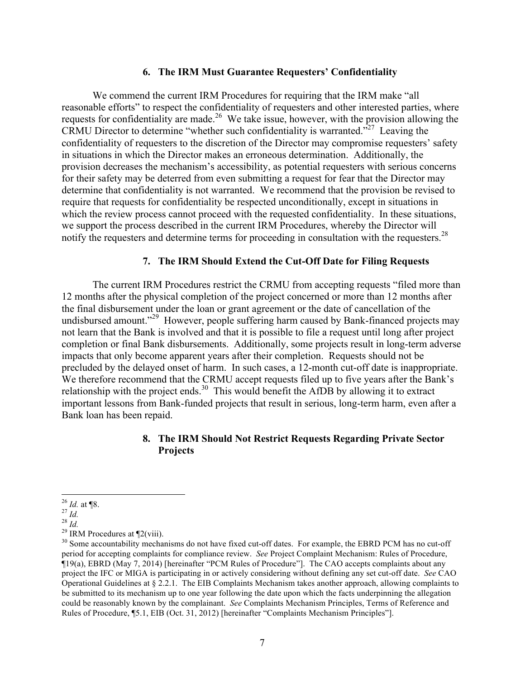#### **6. The IRM Must Guarantee Requesters' Confidentiality**

We commend the current IRM Procedures for requiring that the IRM make "all reasonable efforts" to respect the confidentiality of requesters and other interested parties, where requests for confidentiality are made.<sup>26</sup> We take issue, however, with the provision allowing the CRMU Director to determine "whether such confidentiality is warranted."<sup>27</sup> Leaving the confidentiality of requesters to the discretion of the Director may compromise requesters' safety in situations in which the Director makes an erroneous determination. Additionally, the provision decreases the mechanism's accessibility, as potential requesters with serious concerns for their safety may be deterred from even submitting a request for fear that the Director may determine that confidentiality is not warranted. We recommend that the provision be revised to require that requests for confidentiality be respected unconditionally, except in situations in which the review process cannot proceed with the requested confidentiality. In these situations, we support the process described in the current IRM Procedures, whereby the Director will notify the requesters and determine terms for proceeding in consultation with the requesters.<sup>28</sup>

# **7. The IRM Should Extend the Cut-Off Date for Filing Requests**

The current IRM Procedures restrict the CRMU from accepting requests "filed more than 12 months after the physical completion of the project concerned or more than 12 months after the final disbursement under the loan or grant agreement or the date of cancellation of the undisbursed amount."<sup>29</sup> However, people suffering harm caused by Bank-financed projects may not learn that the Bank is involved and that it is possible to file a request until long after project completion or final Bank disbursements. Additionally, some projects result in long-term adverse impacts that only become apparent years after their completion. Requests should not be precluded by the delayed onset of harm. In such cases, a 12-month cut-off date is inappropriate. We therefore recommend that the CRMU accept requests filed up to five years after the Bank's relationship with the project ends.<sup>30</sup> This would benefit the AfDB by allowing it to extract important lessons from Bank-funded projects that result in serious, long-term harm, even after a Bank loan has been repaid.

# **8. The IRM Should Not Restrict Requests Regarding Private Sector Projects**

<sup>&</sup>lt;sup>26</sup> *Id.* at ¶8.<br><sup>27</sup> *Id.*<br><sup>28</sup> *Id.*<br><sup>29</sup> IRM Procedures at ¶2(viii).<br><sup>30</sup> Some accountability mechanisms do not have fixed cut-off dates. For example, the EBRD PCM has no cut-off period for accepting complaints for compliance review. *See* Project Complaint Mechanism: Rules of Procedure, ¶19(a), EBRD (May 7, 2014) [hereinafter "PCM Rules of Procedure"]. The CAO accepts complaints about any project the IFC or MIGA is participating in or actively considering without defining any set cut-off date. *See* CAO Operational Guidelines at § 2.2.1. The EIB Complaints Mechanism takes another approach, allowing complaints to be submitted to its mechanism up to one year following the date upon which the facts underpinning the allegation could be reasonably known by the complainant. *See* Complaints Mechanism Principles, Terms of Reference and Rules of Procedure, ¶5.1, EIB (Oct. 31, 2012) [hereinafter "Complaints Mechanism Principles"].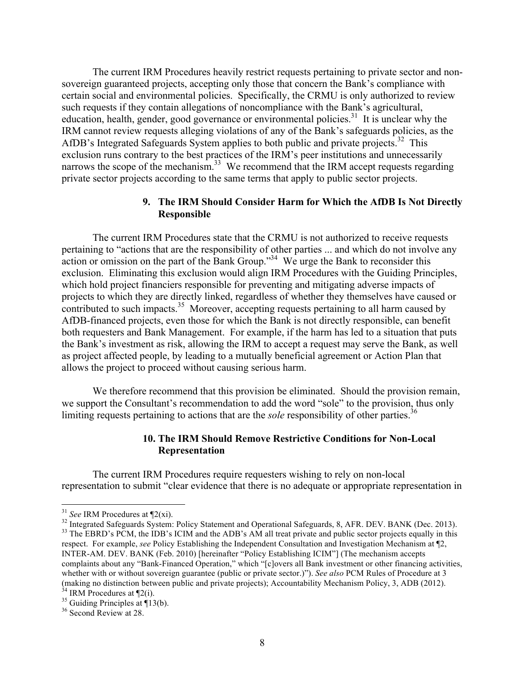The current IRM Procedures heavily restrict requests pertaining to private sector and nonsovereign guaranteed projects, accepting only those that concern the Bank's compliance with certain social and environmental policies. Specifically, the CRMU is only authorized to review such requests if they contain allegations of noncompliance with the Bank's agricultural, education, health, gender, good governance or environmental policies.<sup>31</sup> It is unclear why the IRM cannot review requests alleging violations of any of the Bank's safeguards policies, as the AfDB's Integrated Safeguards System applies to both public and private projects.<sup>32</sup> This exclusion runs contrary to the best practices of the IRM's peer institutions and unnecessarily narrows the scope of the mechanism.<sup>33</sup> We recommend that the IRM accept requests regarding private sector projects according to the same terms that apply to public sector projects.

### **9. The IRM Should Consider Harm for Which the AfDB Is Not Directly Responsible**

The current IRM Procedures state that the CRMU is not authorized to receive requests pertaining to "actions that are the responsibility of other parties ... and which do not involve any  $\frac{1}{2}$  action or omission on the part of the Bank Group.<sup>334</sup> We urge the Bank to reconsider this exclusion. Eliminating this exclusion would align IRM Procedures with the Guiding Principles, which hold project financiers responsible for preventing and mitigating adverse impacts of projects to which they are directly linked, regardless of whether they themselves have caused or contributed to such impacts.<sup>35</sup> Moreover, accepting requests pertaining to all harm caused by AfDB-financed projects, even those for which the Bank is not directly responsible, can benefit both requesters and Bank Management. For example, if the harm has led to a situation that puts the Bank's investment as risk, allowing the IRM to accept a request may serve the Bank, as well as project affected people, by leading to a mutually beneficial agreement or Action Plan that allows the project to proceed without causing serious harm.

We therefore recommend that this provision be eliminated. Should the provision remain, we support the Consultant's recommendation to add the word "sole" to the provision, thus only limiting requests pertaining to actions that are the *sole* responsibility of other parties.<sup>36</sup>

# **10. The IRM Should Remove Restrictive Conditions for Non-Local Representation**

The current IRM Procedures require requesters wishing to rely on non-local representation to submit "clear evidence that there is no adequate or appropriate representation in

<sup>&</sup>lt;sup>31</sup> See IRM Procedures at  $\P$ 2(xi).<br><sup>32</sup> Integrated Safeguards System: Policy Statement and Operational Safeguards, 8, AFR. DEV. BANK (Dec. 2013).<br><sup>33</sup> The EBRD's PCM, the IDB's ICIM and the ADB's AM all treat private an respect. For example, *see* Policy Establishing the Independent Consultation and Investigation Mechanism at ¶2, INTER-AM. DEV. BANK (Feb. 2010) [hereinafter "Policy Establishing ICIM"] (The mechanism accepts complaints about any "Bank-Financed Operation," which "[c]overs all Bank investment or other financing activities, whether with or without sovereign guarantee (public or private sector.)"). *See also* PCM Rules of Procedure at 3 (making no distinction between public and private projects); Accountability Mechanism Policy, 3, ADB (2012). <sup>34</sup> IRM Procedures at  $\mathbb{I}2(i)$ . <sup>35</sup> Guiding Principles at  $\mathbb{I}13(b)$ . <sup>36</sup> Second Review at 28.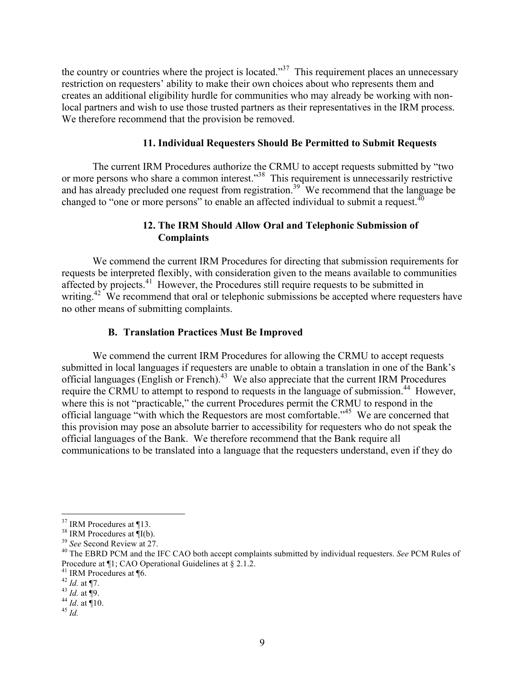the country or countries where the project is located.<sup>37</sup> This requirement places an unnecessary restriction on requesters' ability to make their own choices about who represents them and creates an additional eligibility hurdle for communities who may already be working with nonlocal partners and wish to use those trusted partners as their representatives in the IRM process. We therefore recommend that the provision be removed.

# **11. Individual Requesters Should Be Permitted to Submit Requests**

The current IRM Procedures authorize the CRMU to accept requests submitted by "two or more persons who share a common interest.<sup>38</sup> This requirement is unnecessarily restrictive and has already precluded one request from registration.<sup>39</sup> We recommend that the language be changed to "one or more persons" to enable an affected individual to submit a request.<sup>40</sup>

# **12. The IRM Should Allow Oral and Telephonic Submission of Complaints**

We commend the current IRM Procedures for directing that submission requirements for requests be interpreted flexibly, with consideration given to the means available to communities affected by projects.<sup>41</sup> However, the Procedures still require requests to be submitted in writing.<sup>42</sup> We recommend that oral or telephonic submissions be accepted where requesters have no other means of submitting complaints.

## **B. Translation Practices Must Be Improved**

We commend the current IRM Procedures for allowing the CRMU to accept requests submitted in local languages if requesters are unable to obtain a translation in one of the Bank's official languages (English or French).<sup>43</sup> We also appreciate that the current IRM Procedures require the CRMU to attempt to respond to requests in the language of submission.<sup>44</sup> However, where this is not "practicable," the current Procedures permit the CRMU to respond in the official language "with which the Requestors are most comfortable."<sup>45</sup> We are concerned that this provision may pose an absolute barrier to accessibility for requesters who do not speak the official languages of the Bank. We therefore recommend that the Bank require all communications to be translated into a language that the requesters understand, even if they do

<sup>&</sup>lt;sup>37</sup> IRM Procedures at ¶13.<br><sup>38</sup> IRM Procedures at ¶I(b).<br><sup>39</sup> *See* Second Review at 27.<br><sup>40</sup> The EBRD PCM and the IFC CAO both accept complaints submitted by individual requesters. *See* PCM Rules of<br>Procedure at ¶1; CAO

<sup>41</sup> IRM Procedures at ¶6.<br>
<sup>42</sup> *Id.* at ¶7.<br>
<sup>43</sup> *Id.* at ¶9.<br>
<sup>44</sup> *Id.* at ¶10.<br>
<sup>45</sup> *Id.*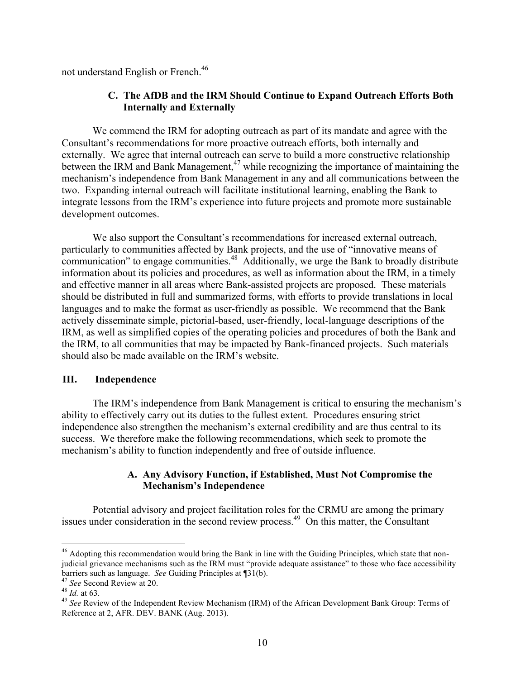not understand English or French.46

# **C. The AfDB and the IRM Should Continue to Expand Outreach Efforts Both Internally and Externally**

We commend the IRM for adopting outreach as part of its mandate and agree with the Consultant's recommendations for more proactive outreach efforts, both internally and externally. We agree that internal outreach can serve to build a more constructive relationship between the IRM and Bank Management,<sup>47</sup> while recognizing the importance of maintaining the mechanism's independence from Bank Management in any and all communications between the two. Expanding internal outreach will facilitate institutional learning, enabling the Bank to integrate lessons from the IRM's experience into future projects and promote more sustainable development outcomes.

We also support the Consultant's recommendations for increased external outreach, particularly to communities affected by Bank projects, and the use of "innovative means of communication" to engage communities.<sup>48</sup> Additionally, we urge the Bank to broadly distribute information about its policies and procedures, as well as information about the IRM, in a timely and effective manner in all areas where Bank-assisted projects are proposed. These materials should be distributed in full and summarized forms, with efforts to provide translations in local languages and to make the format as user-friendly as possible. We recommend that the Bank actively disseminate simple, pictorial-based, user-friendly, local-language descriptions of the IRM, as well as simplified copies of the operating policies and procedures of both the Bank and the IRM, to all communities that may be impacted by Bank-financed projects. Such materials should also be made available on the IRM's website.

## **III. Independence**

The IRM's independence from Bank Management is critical to ensuring the mechanism's ability to effectively carry out its duties to the fullest extent. Procedures ensuring strict independence also strengthen the mechanism's external credibility and are thus central to its success. We therefore make the following recommendations, which seek to promote the mechanism's ability to function independently and free of outside influence.

# **A. Any Advisory Function, if Established, Must Not Compromise the Mechanism's Independence**

Potential advisory and project facilitation roles for the CRMU are among the primary issues under consideration in the second review process.<sup>49</sup> On this matter, the Consultant

<sup>&</sup>lt;sup>46</sup> Adopting this recommendation would bring the Bank in line with the Guiding Principles, which state that nonjudicial grievance mechanisms such as the IRM must "provide adequate assistance" to those who face accessibility barriers such as language. *See* Guiding Principles at  $\P$ 31(b).<br><sup>47</sup> *See* Second Review at 20.<br><sup>48</sup> *Id.* at 63.<br><sup>49</sup> *See* Review of the Independent Review Mechanism (IRM) of the African Development Bank Group: Terms o

Reference at 2, AFR. DEV. BANK (Aug. 2013).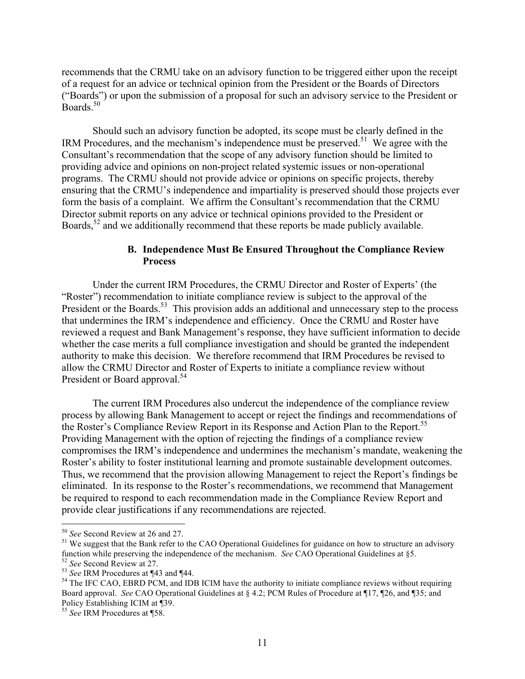recommends that the CRMU take on an advisory function to be triggered either upon the receipt of a request for an advice or technical opinion from the President or the Boards of Directors ("Boards") or upon the submission of a proposal for such an advisory service to the President or Boards $50$ 

Should such an advisory function be adopted, its scope must be clearly defined in the IRM Procedures, and the mechanism's independence must be preserved.<sup>51</sup> We agree with the Consultant's recommendation that the scope of any advisory function should be limited to providing advice and opinions on non-project related systemic issues or non-operational programs. The CRMU should not provide advice or opinions on specific projects, thereby ensuring that the CRMU's independence and impartiality is preserved should those projects ever form the basis of a complaint. We affirm the Consultant's recommendation that the CRMU Director submit reports on any advice or technical opinions provided to the President or Boards,  $52$  and we additionally recommend that these reports be made publicly available.

# **B. Independence Must Be Ensured Throughout the Compliance Review Process**

Under the current IRM Procedures, the CRMU Director and Roster of Experts' (the "Roster") recommendation to initiate compliance review is subject to the approval of the President or the Boards.<sup>53</sup> This provision adds an additional and unnecessary step to the process that undermines the IRM's independence and efficiency. Once the CRMU and Roster have reviewed a request and Bank Management's response, they have sufficient information to decide whether the case merits a full compliance investigation and should be granted the independent authority to make this decision. We therefore recommend that IRM Procedures be revised to allow the CRMU Director and Roster of Experts to initiate a compliance review without President or Board approval.<sup>54</sup>

The current IRM Procedures also undercut the independence of the compliance review process by allowing Bank Management to accept or reject the findings and recommendations of the Roster's Compliance Review Report in its Response and Action Plan to the Report.<sup>55</sup> Providing Management with the option of rejecting the findings of a compliance review compromises the IRM's independence and undermines the mechanism's mandate, weakening the Roster's ability to foster institutional learning and promote sustainable development outcomes. Thus, we recommend that the provision allowing Management to reject the Report's findings be eliminated. In its response to the Roster's recommendations, we recommend that Management be required to respond to each recommendation made in the Compliance Review Report and provide clear justifications if any recommendations are rejected.

<sup>&</sup>lt;sup>50</sup> *See* Second Review at 26 and 27.<br><sup>51</sup> We suggest that the Bank refer to the CAO Operational Guidelines for guidance on how to structure an advisory function while preserving the independence of the mechanism. *See* CAO Operational Guidelines at §5.<br><sup>52</sup> *See* Second Review at 27.<br><sup>53</sup> *See* IRM Procedures at ¶43 and ¶44.<br><sup>54</sup> The IFC CAO, EBRD PCM, and IDB ICIM have

Board approval. *See* CAO Operational Guidelines at § 4.2; PCM Rules of Procedure at ¶17, ¶26, and ¶35; and Policy Establishing ICIM at ¶39.

<sup>55</sup> *See* IRM Procedures at ¶58.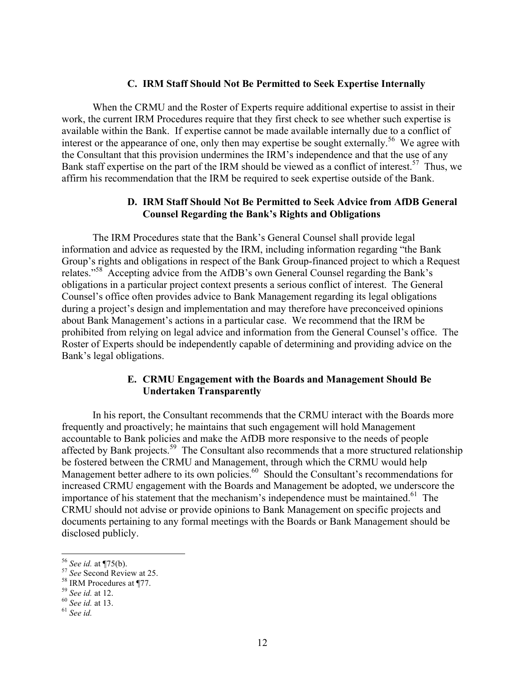#### **C. IRM Staff Should Not Be Permitted to Seek Expertise Internally**

When the CRMU and the Roster of Experts require additional expertise to assist in their work, the current IRM Procedures require that they first check to see whether such expertise is available within the Bank. If expertise cannot be made available internally due to a conflict of interest or the appearance of one, only then may expertise be sought externally.<sup>56</sup> We agree with the Consultant that this provision undermines the IRM's independence and that the use of any Bank staff expertise on the part of the IRM should be viewed as a conflict of interest.<sup>57</sup> Thus, we affirm his recommendation that the IRM be required to seek expertise outside of the Bank.

# **D. IRM Staff Should Not Be Permitted to Seek Advice from AfDB General Counsel Regarding the Bank's Rights and Obligations**

The IRM Procedures state that the Bank's General Counsel shall provide legal information and advice as requested by the IRM, including information regarding "the Bank Group's rights and obligations in respect of the Bank Group-financed project to which a Request relates."58 Accepting advice from the AfDB's own General Counsel regarding the Bank's obligations in a particular project context presents a serious conflict of interest. The General Counsel's office often provides advice to Bank Management regarding its legal obligations during a project's design and implementation and may therefore have preconceived opinions about Bank Management's actions in a particular case. We recommend that the IRM be prohibited from relying on legal advice and information from the General Counsel's office. The Roster of Experts should be independently capable of determining and providing advice on the Bank's legal obligations.

## **E. CRMU Engagement with the Boards and Management Should Be Undertaken Transparently**

In his report, the Consultant recommends that the CRMU interact with the Boards more frequently and proactively; he maintains that such engagement will hold Management accountable to Bank policies and make the AfDB more responsive to the needs of people affected by Bank projects.59 The Consultant also recommends that a more structured relationship be fostered between the CRMU and Management, through which the CRMU would help Management better adhere to its own policies.<sup>60</sup> Should the Consultant's recommendations for increased CRMU engagement with the Boards and Management be adopted, we underscore the importance of his statement that the mechanism's independence must be maintained.<sup>61</sup> The CRMU should not advise or provide opinions to Bank Management on specific projects and documents pertaining to any formal meetings with the Boards or Bank Management should be disclosed publicly.

<sup>56</sup> *See id.* at ¶75(b). <sup>57</sup> *See* Second Review at 25. <sup>58</sup> IRM Procedures at ¶77. <sup>59</sup> *See id.* at 12. <sup>60</sup> *See id.* at 13. <sup>61</sup> *See id.*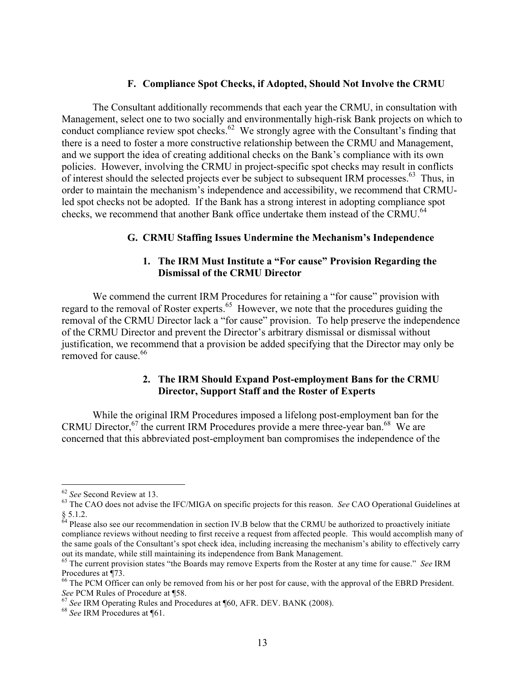#### **F. Compliance Spot Checks, if Adopted, Should Not Involve the CRMU**

The Consultant additionally recommends that each year the CRMU, in consultation with Management, select one to two socially and environmentally high-risk Bank projects on which to conduct compliance review spot checks.<sup>62</sup> We strongly agree with the Consultant's finding that there is a need to foster a more constructive relationship between the CRMU and Management, and we support the idea of creating additional checks on the Bank's compliance with its own policies. However, involving the CRMU in project-specific spot checks may result in conflicts of interest should the selected projects ever be subject to subsequent IRM processes.<sup>63</sup> Thus, in order to maintain the mechanism's independence and accessibility, we recommend that CRMUled spot checks not be adopted. If the Bank has a strong interest in adopting compliance spot checks, we recommend that another Bank office undertake them instead of the CRMU.<sup>64</sup>

## **G. CRMU Staffing Issues Undermine the Mechanism's Independence**

## **1. The IRM Must Institute a "For cause" Provision Regarding the Dismissal of the CRMU Director**

We commend the current IRM Procedures for retaining a "for cause" provision with regard to the removal of Roster experts.<sup>65</sup> However, we note that the procedures guiding the removal of the CRMU Director lack a "for cause" provision. To help preserve the independence of the CRMU Director and prevent the Director's arbitrary dismissal or dismissal without justification, we recommend that a provision be added specifying that the Director may only be removed for cause. 66

# **2. The IRM Should Expand Post-employment Bans for the CRMU Director, Support Staff and the Roster of Experts**

While the original IRM Procedures imposed a lifelong post-employment ban for the CRMU Director,  $67$  the current IRM Procedures provide a mere three-year ban.<sup>68</sup> We are concerned that this abbreviated post-employment ban compromises the independence of the

<sup>&</sup>lt;sup>62</sup> *See* Second Review at 13.<br><sup>63</sup> The CAO does not advise the IFC/MIGA on specific projects for this reason. *See* CAO Operational Guidelines at § 5.1.2.<br><sup>64</sup> Please also see our recommendation in section IV.B below that the CRMU be authorized to proactively initiate

compliance reviews without needing to first receive a request from affected people. This would accomplish many of the same goals of the Consultant's spot check idea, including increasing the mechanism's ability to effectively carry

out its mandate, while still maintaining its independence from Bank Management.<br><sup>65</sup> The current provision states "the Boards may remove Experts from the Roster at any time for cause." *See* IRM Procedures at ¶73.

 $<sup>66</sup>$  The PCM Officer can only be removed from his or her post for cause, with the approval of the EBRD President.</sup> *See* PCM Rules of Procedure at ¶58.<br><sup>67</sup> *See* IRM Operating Rules and Procedures at ¶60, AFR. DEV. BANK (2008). <sup>68</sup> *See* IRM Procedures at ¶61.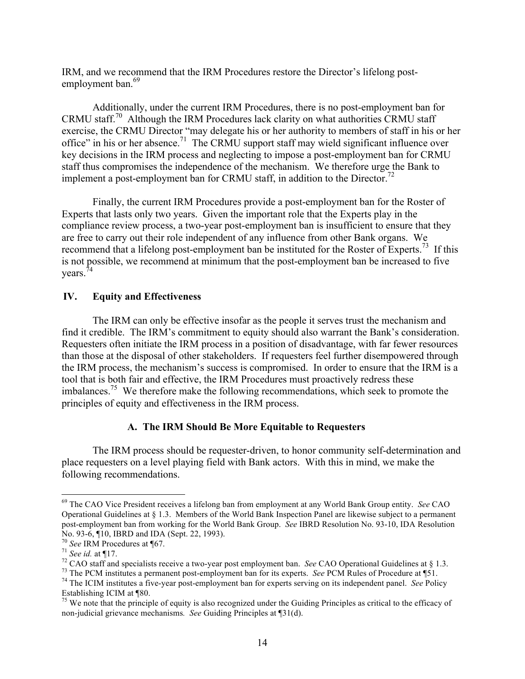IRM, and we recommend that the IRM Procedures restore the Director's lifelong postemployment ban.<sup>69</sup>

Additionally, under the current IRM Procedures, there is no post-employment ban for CRMU staff.<sup>70</sup> Although the IRM Procedures lack clarity on what authorities CRMU staff exercise, the CRMU Director "may delegate his or her authority to members of staff in his or her office" in his or her absence.<sup>71</sup> The CRMU support staff may wield significant influence over key decisions in the IRM process and neglecting to impose a post-employment ban for CRMU staff thus compromises the independence of the mechanism. We therefore urge the Bank to implement a post-employment ban for CRMU staff, in addition to the Director.<sup>72</sup>

Finally, the current IRM Procedures provide a post-employment ban for the Roster of Experts that lasts only two years. Given the important role that the Experts play in the compliance review process, a two-year post-employment ban is insufficient to ensure that they are free to carry out their role independent of any influence from other Bank organs. We recommend that a lifelong post-employment ban be instituted for the Roster of Experts.<sup>73</sup> If this is not possible, we recommend at minimum that the post-employment ban be increased to five  $years.<sup>74</sup>$ 

## **IV. Equity and Effectiveness**

The IRM can only be effective insofar as the people it serves trust the mechanism and find it credible. The IRM's commitment to equity should also warrant the Bank's consideration. Requesters often initiate the IRM process in a position of disadvantage, with far fewer resources than those at the disposal of other stakeholders. If requesters feel further disempowered through the IRM process, the mechanism's success is compromised. In order to ensure that the IRM is a tool that is both fair and effective, the IRM Procedures must proactively redress these imbalances.<sup>75</sup> We therefore make the following recommendations, which seek to promote the principles of equity and effectiveness in the IRM process.

## **A. The IRM Should Be More Equitable to Requesters**

The IRM process should be requester-driven, to honor community self-determination and place requesters on a level playing field with Bank actors. With this in mind, we make the following recommendations.

 <sup>69</sup> The CAO Vice President receives a lifelong ban from employment at any World Bank Group entity. *See* CAO Operational Guidelines at § 1.3. Members of the World Bank Inspection Panel are likewise subject to a permanent post-employment ban from working for the World Bank Group. *See* IBRD Resolution No. 93-10, IDA Resolution No. 93-6, 110, IBRD and IDA (Sept. 22, 1993).<br>
<sup>70</sup> See IRM Procedures at 167.<br>
<sup>71</sup> See id. at 117.<br>
<sup>72</sup> CAO staff and specialists receive a two-year post employment ban. See CAO Operational Guidelines at § 1.3.<br>
<sup>73</sup> T

Establishing ICIM at  $\sqrt[8]{80}$ .<br><sup>75</sup> We note that the principle of equity is also recognized under the Guiding Principles as critical to the efficacy of

non-judicial grievance mechanisms*. See* Guiding Principles at ¶31(d).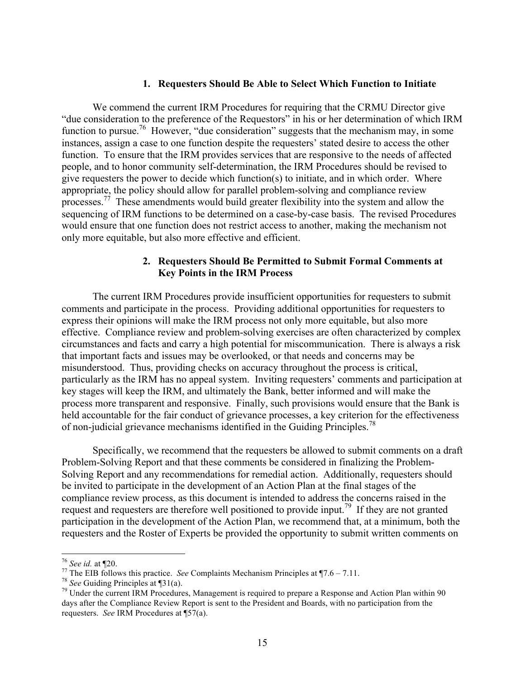#### **1. Requesters Should Be Able to Select Which Function to Initiate**

We commend the current IRM Procedures for requiring that the CRMU Director give "due consideration to the preference of the Requestors" in his or her determination of which IRM function to pursue.<sup>76</sup> However, "due consideration" suggests that the mechanism may, in some instances, assign a case to one function despite the requesters' stated desire to access the other function. To ensure that the IRM provides services that are responsive to the needs of affected people, and to honor community self-determination, the IRM Procedures should be revised to give requesters the power to decide which function(s) to initiate, and in which order. Where appropriate, the policy should allow for parallel problem-solving and compliance review processes.77 These amendments would build greater flexibility into the system and allow the sequencing of IRM functions to be determined on a case-by-case basis. The revised Procedures would ensure that one function does not restrict access to another, making the mechanism not only more equitable, but also more effective and efficient.

# **2. Requesters Should Be Permitted to Submit Formal Comments at Key Points in the IRM Process**

The current IRM Procedures provide insufficient opportunities for requesters to submit comments and participate in the process. Providing additional opportunities for requesters to express their opinions will make the IRM process not only more equitable, but also more effective. Compliance review and problem-solving exercises are often characterized by complex circumstances and facts and carry a high potential for miscommunication. There is always a risk that important facts and issues may be overlooked, or that needs and concerns may be misunderstood. Thus, providing checks on accuracy throughout the process is critical, particularly as the IRM has no appeal system. Inviting requesters' comments and participation at key stages will keep the IRM, and ultimately the Bank, better informed and will make the process more transparent and responsive. Finally, such provisions would ensure that the Bank is held accountable for the fair conduct of grievance processes, a key criterion for the effectiveness of non-judicial grievance mechanisms identified in the Guiding Principles.<sup>78</sup>

Specifically, we recommend that the requesters be allowed to submit comments on a draft Problem-Solving Report and that these comments be considered in finalizing the Problem-Solving Report and any recommendations for remedial action. Additionally, requesters should be invited to participate in the development of an Action Plan at the final stages of the compliance review process, as this document is intended to address the concerns raised in the request and requesters are therefore well positioned to provide input.<sup>79</sup> If they are not granted participation in the development of the Action Plan, we recommend that, at a minimum, both the requesters and the Roster of Experts be provided the opportunity to submit written comments on

<sup>&</sup>lt;sup>76</sup> See id. at ¶20.<br><sup>77</sup> The EIB follows this practice. *See* Complaints Mechanism Principles at ¶7.6 – 7.11.<br><sup>78</sup> See Guiding Principles at ¶31(a).<br><sup>79</sup> Under the current IRM Procedures, Management is required to prepar days after the Compliance Review Report is sent to the President and Boards, with no participation from the requesters. *See* IRM Procedures at ¶57(a).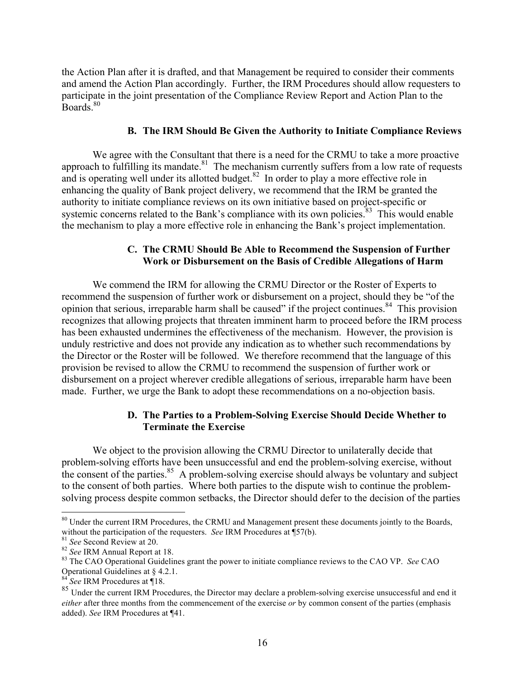the Action Plan after it is drafted, and that Management be required to consider their comments and amend the Action Plan accordingly. Further, the IRM Procedures should allow requesters to participate in the joint presentation of the Compliance Review Report and Action Plan to the Boards<sup>80</sup>

#### **B. The IRM Should Be Given the Authority to Initiate Compliance Reviews**

We agree with the Consultant that there is a need for the CRMU to take a more proactive approach to fulfilling its mandate. $81$  The mechanism currently suffers from a low rate of requests and is operating well under its allotted budget. $82$  In order to play a more effective role in enhancing the quality of Bank project delivery, we recommend that the IRM be granted the authority to initiate compliance reviews on its own initiative based on project-specific or systemic concerns related to the Bank's compliance with its own policies. $83$  This would enable the mechanism to play a more effective role in enhancing the Bank's project implementation.

# **C. The CRMU Should Be Able to Recommend the Suspension of Further Work or Disbursement on the Basis of Credible Allegations of Harm**

We commend the IRM for allowing the CRMU Director or the Roster of Experts to recommend the suspension of further work or disbursement on a project, should they be "of the opinion that serious, irreparable harm shall be caused" if the project continues.<sup>84</sup> This provision recognizes that allowing projects that threaten imminent harm to proceed before the IRM process has been exhausted undermines the effectiveness of the mechanism. However, the provision is unduly restrictive and does not provide any indication as to whether such recommendations by the Director or the Roster will be followed. We therefore recommend that the language of this provision be revised to allow the CRMU to recommend the suspension of further work or disbursement on a project wherever credible allegations of serious, irreparable harm have been made. Further, we urge the Bank to adopt these recommendations on a no-objection basis.

# **D. The Parties to a Problem-Solving Exercise Should Decide Whether to Terminate the Exercise**

We object to the provision allowing the CRMU Director to unilaterally decide that problem-solving efforts have been unsuccessful and end the problem-solving exercise, without the consent of the parties. $85$  A problem-solving exercise should always be voluntary and subject to the consent of both parties. Where both parties to the dispute wish to continue the problemsolving process despite common setbacks, the Director should defer to the decision of the parties

<sup>&</sup>lt;sup>80</sup> Under the current IRM Procedures, the CRMU and Management present these documents jointly to the Boards,

without the participation of the requesters. *See* IRM Procedures at  $\hat{\P}57(b)$ .<br><sup>81</sup> *See* Second Review at 20.<br><sup>82</sup> *See* IRM Annual Report at 18.<br><sup>82</sup> *See* IRM Annual Report at 18.<br><sup>83</sup> The CAO Operational Guidelines

<sup>&</sup>lt;sup>84</sup> See IRM Procedures at ¶18.

<sup>&</sup>lt;sup>85</sup> Under the current IRM Procedures, the Director may declare a problem-solving exercise unsuccessful and end it *either* after three months from the commencement of the exercise *or* by common consent of the parties (emphasis added). *See* IRM Procedures at ¶41.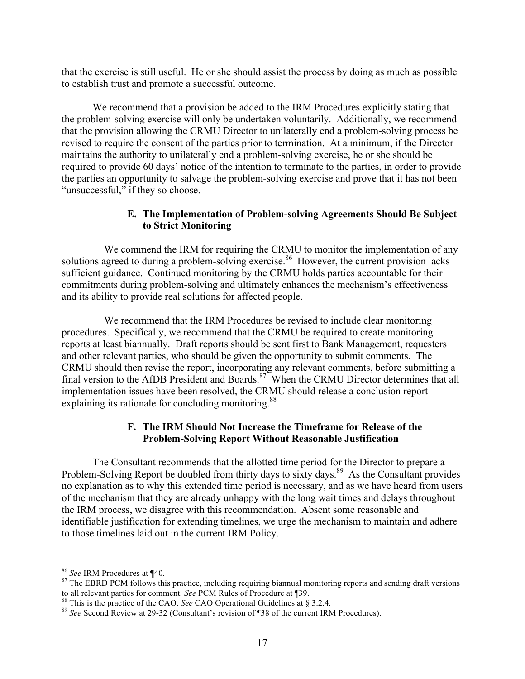that the exercise is still useful. He or she should assist the process by doing as much as possible to establish trust and promote a successful outcome.

We recommend that a provision be added to the IRM Procedures explicitly stating that the problem-solving exercise will only be undertaken voluntarily. Additionally, we recommend that the provision allowing the CRMU Director to unilaterally end a problem-solving process be revised to require the consent of the parties prior to termination. At a minimum, if the Director maintains the authority to unilaterally end a problem-solving exercise, he or she should be required to provide 60 days' notice of the intention to terminate to the parties, in order to provide the parties an opportunity to salvage the problem-solving exercise and prove that it has not been "unsuccessful," if they so choose.

# **E. The Implementation of Problem-solving Agreements Should Be Subject to Strict Monitoring**

We commend the IRM for requiring the CRMU to monitor the implementation of any solutions agreed to during a problem-solving exercise.<sup>86</sup> However, the current provision lacks sufficient guidance. Continued monitoring by the CRMU holds parties accountable for their commitments during problem-solving and ultimately enhances the mechanism's effectiveness and its ability to provide real solutions for affected people.

We recommend that the IRM Procedures be revised to include clear monitoring procedures. Specifically, we recommend that the CRMU be required to create monitoring reports at least biannually. Draft reports should be sent first to Bank Management, requesters and other relevant parties, who should be given the opportunity to submit comments. The CRMU should then revise the report, incorporating any relevant comments, before submitting a final version to the AfDB President and Boards.<sup>87</sup> When the CRMU Director determines that all implementation issues have been resolved, the CRMU should release a conclusion report explaining its rationale for concluding monitoring.<sup>88</sup>

# **F. The IRM Should Not Increase the Timeframe for Release of the Problem-Solving Report Without Reasonable Justification**

The Consultant recommends that the allotted time period for the Director to prepare a Problem-Solving Report be doubled from thirty days to sixty days.<sup>89</sup> As the Consultant provides no explanation as to why this extended time period is necessary, and as we have heard from users of the mechanism that they are already unhappy with the long wait times and delays throughout the IRM process, we disagree with this recommendation. Absent some reasonable and identifiable justification for extending timelines, we urge the mechanism to maintain and adhere to those timelines laid out in the current IRM Policy.

<sup>&</sup>lt;sup>86</sup> *See* IRM Procedures at ¶40.<br><sup>87</sup> The EBRD PCM follows this practice, including requiring biannual monitoring reports and sending draft versions to all relevant parties for comment. See PCM Rules of Procedure at ¶39.<br><sup>88</sup> This is the practice of the CAO. See CAO Operational Guidelines at § 3.2.4.<br><sup>89</sup> See Second Review at 29-32 (Consultant's revision of ¶38 of the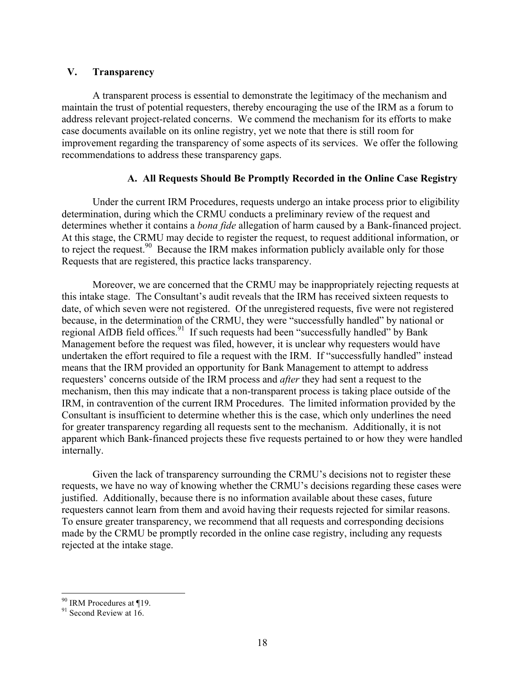# **V. Transparency**

A transparent process is essential to demonstrate the legitimacy of the mechanism and maintain the trust of potential requesters, thereby encouraging the use of the IRM as a forum to address relevant project-related concerns. We commend the mechanism for its efforts to make case documents available on its online registry, yet we note that there is still room for improvement regarding the transparency of some aspects of its services. We offer the following recommendations to address these transparency gaps.

# **A. All Requests Should Be Promptly Recorded in the Online Case Registry**

Under the current IRM Procedures, requests undergo an intake process prior to eligibility determination, during which the CRMU conducts a preliminary review of the request and determines whether it contains a *bona fide* allegation of harm caused by a Bank-financed project. At this stage, the CRMU may decide to register the request, to request additional information, or to reject the request.<sup>90</sup> Because the IRM makes information publicly available only for those Requests that are registered, this practice lacks transparency.

Moreover, we are concerned that the CRMU may be inappropriately rejecting requests at this intake stage. The Consultant's audit reveals that the IRM has received sixteen requests to date, of which seven were not registered. Of the unregistered requests, five were not registered because, in the determination of the CRMU, they were "successfully handled" by national or regional AfDB field offices.<sup>91</sup> If such requests had been "successfully handled" by Bank Management before the request was filed, however, it is unclear why requesters would have undertaken the effort required to file a request with the IRM. If "successfully handled" instead means that the IRM provided an opportunity for Bank Management to attempt to address requesters' concerns outside of the IRM process and *after* they had sent a request to the mechanism, then this may indicate that a non-transparent process is taking place outside of the IRM, in contravention of the current IRM Procedures. The limited information provided by the Consultant is insufficient to determine whether this is the case, which only underlines the need for greater transparency regarding all requests sent to the mechanism. Additionally, it is not apparent which Bank-financed projects these five requests pertained to or how they were handled internally.

Given the lack of transparency surrounding the CRMU's decisions not to register these requests, we have no way of knowing whether the CRMU's decisions regarding these cases were justified. Additionally, because there is no information available about these cases, future requesters cannot learn from them and avoid having their requests rejected for similar reasons. To ensure greater transparency, we recommend that all requests and corresponding decisions made by the CRMU be promptly recorded in the online case registry, including any requests rejected at the intake stage.

<sup>&</sup>lt;sup>90</sup> IRM Procedures at ¶19.<br><sup>91</sup> Second Review at 16.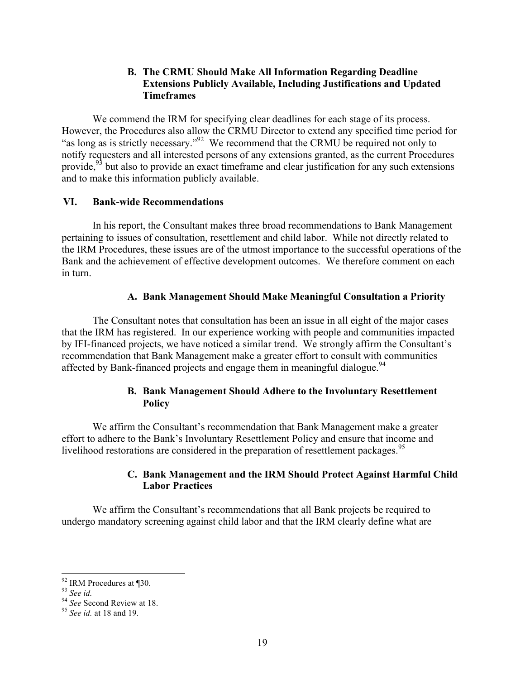# **B. The CRMU Should Make All Information Regarding Deadline Extensions Publicly Available, Including Justifications and Updated Timeframes**

We commend the IRM for specifying clear deadlines for each stage of its process. However, the Procedures also allow the CRMU Director to extend any specified time period for "as long as is strictly necessary."92 We recommend that the CRMU be required not only to notify requesters and all interested persons of any extensions granted, as the current Procedures provide,<sup>93</sup> but also to provide an exact timeframe and clear justification for any such extensions and to make this information publicly available.

#### **VI. Bank-wide Recommendations**

In his report, the Consultant makes three broad recommendations to Bank Management pertaining to issues of consultation, resettlement and child labor. While not directly related to the IRM Procedures, these issues are of the utmost importance to the successful operations of the Bank and the achievement of effective development outcomes. We therefore comment on each in turn.

## **A. Bank Management Should Make Meaningful Consultation a Priority**

The Consultant notes that consultation has been an issue in all eight of the major cases that the IRM has registered. In our experience working with people and communities impacted by IFI-financed projects, we have noticed a similar trend. We strongly affirm the Consultant's recommendation that Bank Management make a greater effort to consult with communities affected by Bank-financed projects and engage them in meaningful dialogue.<sup>94</sup>

# **B. Bank Management Should Adhere to the Involuntary Resettlement Policy**

We affirm the Consultant's recommendation that Bank Management make a greater effort to adhere to the Bank's Involuntary Resettlement Policy and ensure that income and livelihood restorations are considered in the preparation of resettlement packages.<sup>95</sup>

# **C. Bank Management and the IRM Should Protect Against Harmful Child Labor Practices**

We affirm the Consultant's recommendations that all Bank projects be required to undergo mandatory screening against child labor and that the IRM clearly define what are

<sup>92</sup> IRM Procedures at ¶30. <sup>93</sup> *See id.* <sup>94</sup> *See* Second Review at 18. <sup>95</sup> *See id.* at 18 and 19.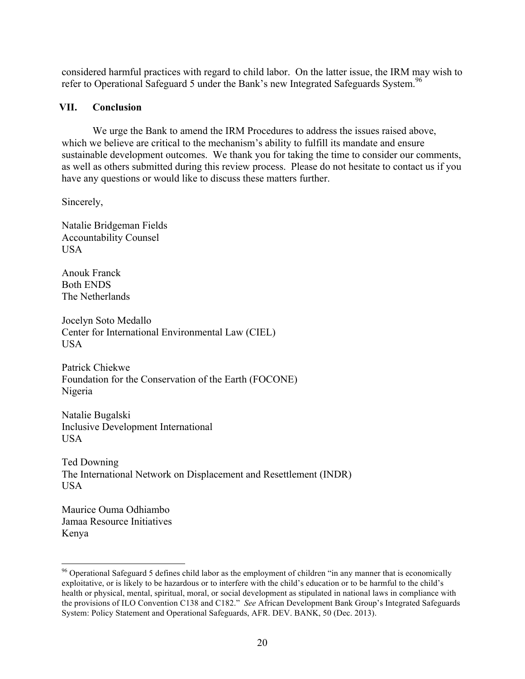considered harmful practices with regard to child labor. On the latter issue, the IRM may wish to refer to Operational Safeguard 5 under the Bank's new Integrated Safeguards System.<sup>96</sup>

## **VII. Conclusion**

We urge the Bank to amend the IRM Procedures to address the issues raised above, which we believe are critical to the mechanism's ability to fulfill its mandate and ensure sustainable development outcomes. We thank you for taking the time to consider our comments, as well as others submitted during this review process. Please do not hesitate to contact us if you have any questions or would like to discuss these matters further.

Sincerely,

Natalie Bridgeman Fields Accountability Counsel USA

Anouk Franck Both ENDS The Netherlands

Jocelyn Soto Medallo Center for International Environmental Law (CIEL) USA

Patrick Chiekwe Foundation for the Conservation of the Earth (FOCONE) Nigeria

Natalie Bugalski Inclusive Development International USA

Ted Downing The International Network on Displacement and Resettlement (INDR) USA

Maurice Ouma Odhiambo Jamaa Resource Initiatives Kenya

<sup>&</sup>lt;sup>96</sup> Operational Safeguard 5 defines child labor as the employment of children "in any manner that is economically exploitative, or is likely to be hazardous or to interfere with the child's education or to be harmful to the child's health or physical, mental, spiritual, moral, or social development as stipulated in national laws in compliance with the provisions of ILO Convention C138 and C182." *See* African Development Bank Group's Integrated Safeguards System: Policy Statement and Operational Safeguards, AFR. DEV. BANK, 50 (Dec. 2013).